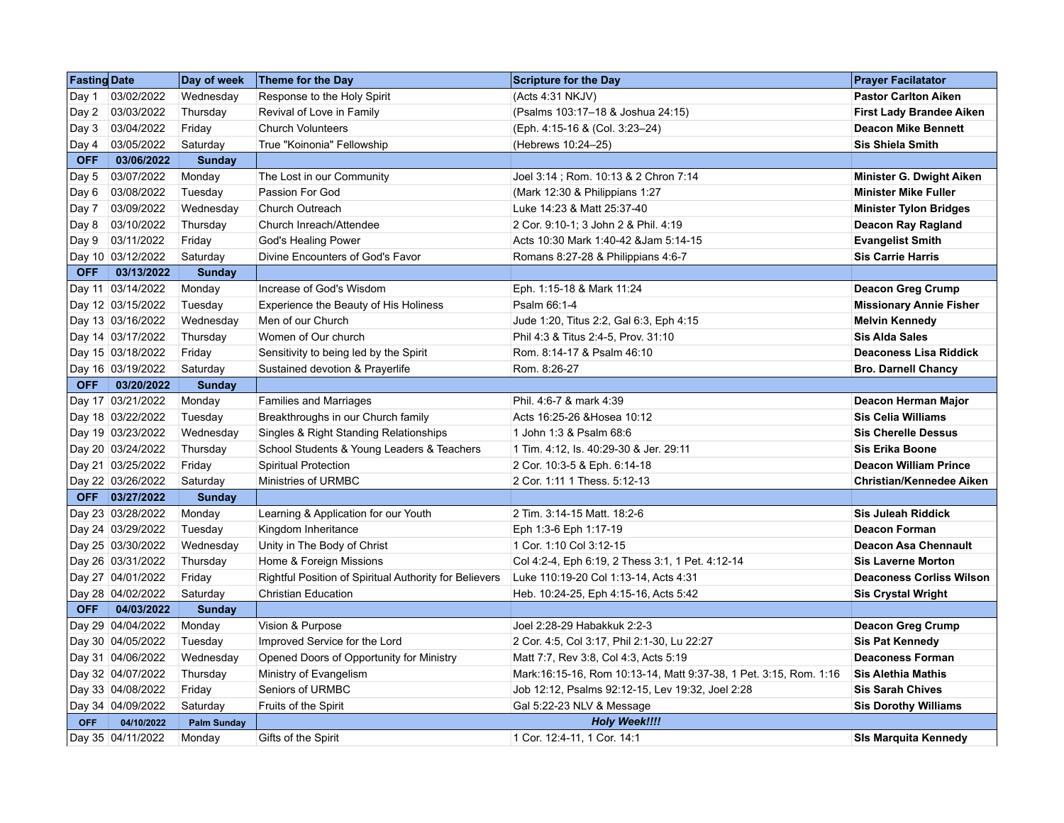| <b>Fasting Date</b> |                   | Day of week        | Theme for the Day                                      | <b>Scripture for the Day</b>                                      | <b>Prayer Facilatator</b>       |
|---------------------|-------------------|--------------------|--------------------------------------------------------|-------------------------------------------------------------------|---------------------------------|
| Day 1               | 03/02/2022        | Wednesday          | Response to the Holy Spirit                            | (Acts 4:31 NKJV)                                                  | <b>Pastor Carlton Aiken</b>     |
|                     | Day 2 03/03/2022  | Thursday           | Revival of Love in Family                              | (Psalms 103:17-18 & Joshua 24:15)                                 | <b>First Lady Brandee Aiken</b> |
| Day 3               | 03/04/2022        | Friday             | <b>Church Volunteers</b>                               | (Eph. 4:15-16 & (Col. 3:23-24)                                    | <b>Deacon Mike Bennett</b>      |
|                     | Day 4 03/05/2022  | Saturday           | True "Koinonia" Fellowship                             | (Hebrews 10:24-25)                                                | <b>Sis Shiela Smith</b>         |
| <b>OFF</b>          | 03/06/2022        | <b>Sunday</b>      |                                                        |                                                                   |                                 |
| Day 5               | 03/07/2022        | Monday             | The Lost in our Community                              | Joel 3:14; Rom. 10:13 & 2 Chron 7:14                              | Minister G. Dwight Aiken        |
|                     | Day 6 03/08/2022  | Tuesday            | Passion For God                                        | (Mark 12:30 & Philippians 1:27)                                   | <b>Minister Mike Fuller</b>     |
| Day 7               | 03/09/2022        | Wednesday          | Church Outreach                                        | Luke 14:23 & Matt 25:37-40                                        | <b>Minister Tylon Bridges</b>   |
|                     | Day 8 03/10/2022  | Thursday           | Church Inreach/Attendee                                | 2 Cor. 9:10-1; 3 John 2 & Phil. 4:19                              | Deacon Ray Ragland              |
|                     | Day 9 03/11/2022  | Friday             | God's Healing Power                                    | Acts 10:30 Mark 1:40-42 & Jam 5:14-15                             | <b>Evangelist Smith</b>         |
|                     | Day 10 03/12/2022 | Saturday           | Divine Encounters of God's Favor                       | Romans 8:27-28 & Philippians 4:6-7                                | <b>Sis Carrie Harris</b>        |
| <b>OFF</b>          | 03/13/2022        | Sunday             |                                                        |                                                                   |                                 |
|                     | Day 11 03/14/2022 | Monday             | Increase of God's Wisdom                               | Eph. 1:15-18 & Mark 11:24                                         | <b>Deacon Greg Crump</b>        |
|                     | Day 12 03/15/2022 | Tuesday            | Experience the Beauty of His Holiness                  | Psalm 66:1-4                                                      | <b>Missionary Annie Fisher</b>  |
|                     | Day 13 03/16/2022 | Wednesday          | Men of our Church                                      | Jude 1:20, Titus 2:2, Gal 6:3, Eph 4:15                           | <b>Melvin Kennedy</b>           |
|                     | Day 14 03/17/2022 | Thursday           | Women of Our church                                    | Phil 4:3 & Titus 2:4-5, Prov. 31:10                               | <b>Sis Alda Sales</b>           |
|                     | Day 15 03/18/2022 | Friday             | Sensitivity to being led by the Spirit                 | Rom. 8:14-17 & Psalm 46:10                                        | <b>Deaconess Lisa Riddick</b>   |
|                     | Day 16 03/19/2022 | Saturday           | Sustained devotion & Prayerlife                        | Rom. 8:26-27                                                      | <b>Bro. Darnell Chancy</b>      |
|                     | OFF 03/20/2022    | <b>Sunday</b>      |                                                        |                                                                   |                                 |
|                     | Day 17 03/21/2022 | Monday             | Families and Marriages                                 | Phil. 4:6-7 & mark 4:39                                           | Deacon Herman Major             |
|                     | Day 18 03/22/2022 | Tuesday            | Breakthroughs in our Church family                     | Acts 16:25-26 & Hosea 10:12                                       | <b>Sis Celia Williams</b>       |
|                     | Day 19 03/23/2022 | Wednesday          | Singles & Right Standing Relationships                 | 1 John 1:3 & Psalm 68:6                                           | <b>Sis Cherelle Dessus</b>      |
|                     | Day 20 03/24/2022 | Thursday           | School Students & Young Leaders & Teachers             | 1 Tim. 4:12, ls. 40:29-30 & Jer. 29:11                            | <b>Sis Erika Boone</b>          |
|                     | Day 21 03/25/2022 | Friday             | Spiritual Protection                                   | 2 Cor. 10:3-5 & Eph. 6:14-18                                      | <b>Deacon William Prince</b>    |
|                     | Day 22 03/26/2022 | Saturday           | Ministries of URMBC                                    | 2 Cor. 1:11 1 Thess. 5:12-13                                      | Christian/Kennedee Aiken        |
|                     | OFF 03/27/2022    | Sunday             |                                                        |                                                                   |                                 |
|                     | Day 23 03/28/2022 | Monday             | Learning & Application for our Youth                   | 2 Tim. 3:14-15 Matt. 18:2-6                                       | <b>Sis Juleah Riddick</b>       |
|                     | Day 24 03/29/2022 | Tuesday            | Kingdom Inheritance                                    | Eph 1:3-6 Eph 1:17-19                                             | <b>Deacon Forman</b>            |
|                     | Day 25 03/30/2022 | Wednesday          | Unity in The Body of Christ                            | 1 Cor. 1:10 Col 3:12-15                                           | <b>Deacon Asa Chennault</b>     |
|                     | Day 26 03/31/2022 | Thursday           | Home & Foreign Missions                                | Col 4:2-4, Eph 6:19, 2 Thess 3:1, 1 Pet. 4:12-14                  | <b>Sis Laverne Morton</b>       |
|                     | Day 27 04/01/2022 | Friday             | Rightful Position of Spiritual Authority for Believers | Luke 110:19-20 Col 1:13-14, Acts 4:31                             | <b>Deaconess Corliss Wilson</b> |
|                     | Day 28 04/02/2022 | Saturday           | <b>Christian Education</b>                             | Heb. 10:24-25, Eph 4:15-16, Acts 5:42                             | <b>Sis Crystal Wright</b>       |
| OFF                 | 04/03/2022        | <b>Sunday</b>      |                                                        |                                                                   |                                 |
|                     | Day 29 04/04/2022 | Monday             | Vision & Purpose                                       | Joel 2:28-29 Habakkuk 2:2-3                                       | <b>Deacon Greg Crump</b>        |
|                     | Day 30 04/05/2022 | Tuesday            | Improved Service for the Lord                          | 2 Cor. 4:5, Col 3:17, Phil 2:1-30, Lu 22:27                       | <b>Sis Pat Kennedy</b>          |
|                     | Day 31 04/06/2022 | Wednesday          | Opened Doors of Opportunity for Ministry               | Matt 7:7, Rev 3:8, Col 4:3, Acts 5:19                             | <b>Deaconess Forman</b>         |
|                     | Day 32 04/07/2022 | Thursday           | Ministry of Evangelism                                 | Mark:16:15-16, Rom 10:13-14, Matt 9:37-38, 1 Pet. 3:15, Rom. 1:16 | <b>Sis Alethia Mathis</b>       |
|                     | Day 33 04/08/2022 | Friday             | Seniors of URMBC                                       | Job 12:12, Psalms 92:12-15, Lev 19:32, Joel 2:28                  | <b>Sis Sarah Chives</b>         |
|                     | Day 34 04/09/2022 | Saturday           | Fruits of the Spirit                                   | Gal 5:22-23 NLV & Message                                         | <b>Sis Dorothy Williams</b>     |
| <b>OFF</b>          | 04/10/2022        | <b>Palm Sunday</b> |                                                        | <b>Holy Week!!!!</b>                                              |                                 |
|                     | Day 35 04/11/2022 | Monday             | Gifts of the Spirit                                    | 1 Cor. 12:4-11, 1 Cor. 14:1                                       | SIs Marquita Kennedy            |